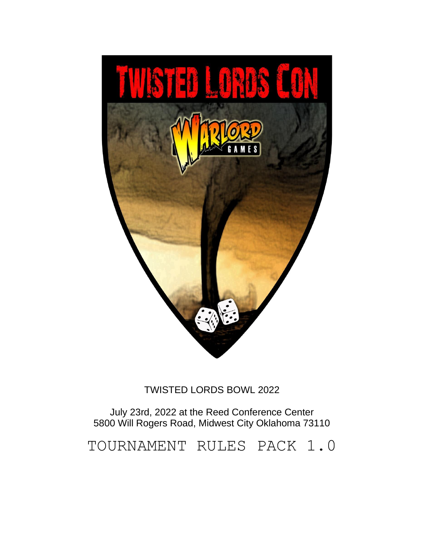

# TWISTED LORDS BOWL 2022

July 23rd, 2022 at the Reed Conference Center 5800 Will Rogers Road, Midwest City Oklahoma 73110

TOURNAMENT RULES PACK 1.0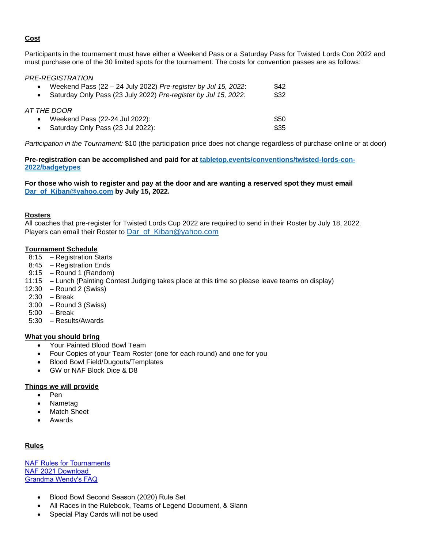## **Cost**

Participants in the tournament must have either a Weekend Pass or a Saturday Pass for Twisted Lords Con 2022 and must purchase one of the 30 limited spots for the tournament. The costs for convention passes are as follows:

## *PRE-REGISTRATION*

| $\bullet$                             | Weekend Pass $(22 – 24$ July 2022) Pre-register by Jul 15, 2022:<br>Saturday Only Pass (23 July 2022) Pre-register by Jul 15, 2022: | \$42<br>\$32 |
|---------------------------------------|-------------------------------------------------------------------------------------------------------------------------------------|--------------|
| AT THE DOOR<br>$\bullet$<br>$\bullet$ | Weekend Pass (22-24 Jul 2022):<br>Saturday Only Pass (23 Jul 2022):                                                                 | \$50<br>\$35 |

*Participation in the Tournament:* \$10 (the participation price does not change regardless of purchase online or at door)

**Pre-registration can be accomplished and paid for at [tabletop.events/conventions/twisted-lords-con-](https://tabletop.events/conventions/twisted-lords-con-2022/badgetypes)[2022/badgetypes](https://tabletop.events/conventions/twisted-lords-con-2022/badgetypes)** 

#### **For those who wish to register and pay at the door and are wanting a reserved spot they must email [Dar\\_of\\_Kiban@yahoo.com](mailto:Dar_of_Kiban@yahoo.com) by July 15, 2022.**

## **Rosters**

All coaches that pre-register for Twisted Lords Cup 2022 are required to send in their Roster by July 18, 2022. Players can email their Roster to Dar of Kiban@yahoo.com

## **Tournament Schedule**

- 8:15 Registration Starts
- 8:45 Registration Ends
- 9:15 Round 1 (Random)
- 11:15 Lunch (Painting Contest Judging takes place at this time so please leave teams on display)
- 12:30 Round 2 (Swiss)
- 2:30 Break
- 3:00 Round 3 (Swiss)
- 5:00 Break
- 5:30 Results/Awards

## **What you should bring**

- Your Painted Blood Bowl Team
- Four Copies of your Team Roster (one for each round) and one for you
- Blood Bowl Field/Dugouts/Templates
- GW or NAF Block Dice & D8

#### **Things we will provide**

- Pen
- Nametag
- **Match Sheet**
- Awards

## **Rules**

[NAF Rules for Tournaments](http://www.thenaf.net/tournaments/nafdocs/) [NAF 2021 Download](http://www.thenaf.net/wp-content/uploads/2020/12/NAF-Rules-for-Tournaments-2021.pdf) [Grandma Wendy's FAQ](http://www.warhammer-community.com/2020/12/08/discover-the-latest-rules-in-blood-bowls-new-faq/)

- Blood Bowl Second Season (2020) Rule Set
- All Races in the Rulebook, Teams of Legend Document, & Slann
- Special Play Cards will not be used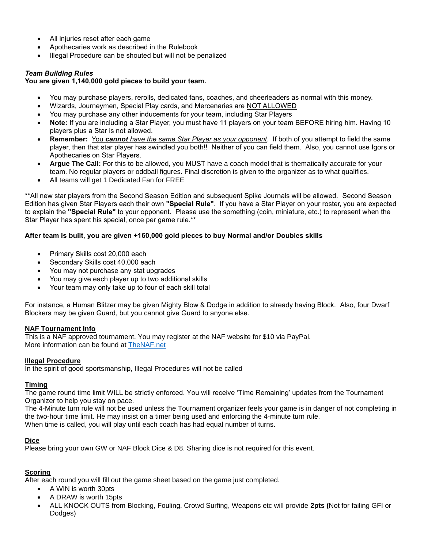- All injuries reset after each game
- Apothecaries work as described in the Rulebook
- Illegal Procedure can be shouted but will not be penalized

## *Team Building Rules*

## **You are given 1,140,000 gold pieces to build your team.**

- You may purchase players, rerolls, dedicated fans, coaches, and cheerleaders as normal with this money.
- Wizards, Journeymen, Special Play cards, and Mercenaries are NOT ALLOWED
- You may purchase any other inducements for your team, including Star Players
- **Note:** If you are including a Star Player, you must have 11 players on your team BEFORE hiring him. Having 10 players plus a Star is not allowed.
- **Remember:** You *cannot have the same Star Player as your opponent.* If both of you attempt to field the same player, then that star player has swindled you both!! Neither of you can field them. Also, you cannot use Igors or Apothecaries on Star Players.
- **Argue The Call:** For this to be allowed, you MUST have a coach model that is thematically accurate for your team. No regular players or oddball figures. Final discretion is given to the organizer as to what qualifies.
- All teams will get 1 Dedicated Fan for FREE

\*\*All new star players from the Second Season Edition and subsequent Spike Journals will be allowed. Second Season Edition has given Star Players each their own **"Special Rule"**. If you have a Star Player on your roster, you are expected to explain the **"Special Rule"** to your opponent. Please use the something (coin, miniature, etc.) to represent when the Star Player has spent his special, once per game rule.\*\*

## **After team is built, you are given +160,000 gold pieces to buy Normal and/or Doubles skills**

- Primary Skills cost 20,000 each
- Secondary Skills cost 40,000 each
- You may not purchase any stat upgrades
- You may give each player up to two additional skills
- Your team may only take up to four of each skill total

For instance, a Human Blitzer may be given Mighty Blow & Dodge in addition to already having Block. Also, four Dwarf Blockers may be given Guard, but you cannot give Guard to anyone else.

#### **NAF Tournament Info**

This is a NAF approved tournament. You may register at the NAF website for \$10 via PayPal. More information can be found at [TheNAF.net](http://www.thenaf.net/)

#### **Illegal Procedure**

In the spirit of good sportsmanship, Illegal Procedures will not be called

#### **Timing**

The game round time limit WILL be strictly enforced. You will receive 'Time Remaining' updates from the Tournament Organizer to help you stay on pace.

The 4-Minute turn rule will not be used unless the Tournament organizer feels your game is in danger of not completing in the two-hour time limit. He may insist on a timer being used and enforcing the 4-minute turn rule. When time is called, you will play until each coach has had equal number of turns.

#### **Dice**

Please bring your own GW or NAF Block Dice & D8. Sharing dice is not required for this event.

## **Scoring**

After each round you will fill out the game sheet based on the game just completed.

- A WIN is worth 30pts
- A DRAW is worth 15pts
- ALL KNOCK OUTS from Blocking, Fouling, Crowd Surfing, Weapons etc will provide **2pts (**Not for failing GFI or Dodges)